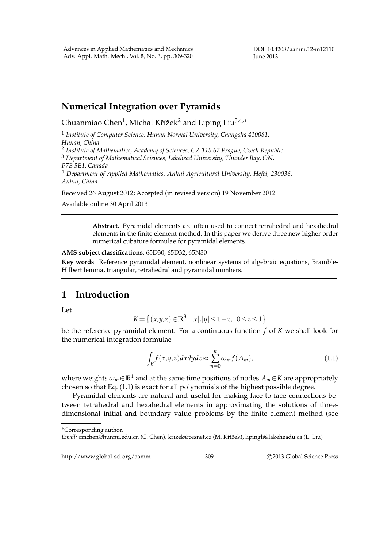DOI: 10.4208/aamm.12-m12110 June 2013

# **Numerical Integration over Pyramids**

Chuanmiao Chen $^1$ , Michal Křížek $^2$  and Liping Liu $^{3,4,\ast}$ 

1 *Institute of Computer Science, Hunan Normal University, Changsha 410081, Hunan, China*

2 *Institute of Mathematics, Academy of Sciences, CZ-115 67 Prague, Czech Republic*

<sup>3</sup> *Department of Mathematical Sciences, Lakehead University, Thunder Bay, ON, P7B 5E1, Canada*

<sup>4</sup> *Department of Applied Mathematics, Anhui Agricultural University, Hefei, 230036, Anhui, China*

Received 26 August 2012; Accepted (in revised version) 19 November 2012

Available online 30 April 2013

**Abstract.** Pyramidal elements are often used to connect tetrahedral and hexahedral elements in the finite element method. In this paper we derive three new higher order numerical cubature formulae for pyramidal elements.

**AMS subject classifications**: 65D30, 65D32, 65N30

**Key words**: Reference pyramidal element, nonlinear systems of algebraic equations, Bramble-Hilbert lemma, triangular, tetrahedral and pyramidal numbers.

# **1 Introduction**

Let

$$
K = \{(x,y,z) \in \mathbb{R}^3 \mid |x|, |y| \le 1-z, \ 0 \le z \le 1\}
$$

be the reference pyramidal element. For a continuous function *f* of *K* we shall look for the numerical integration formulae

$$
\int_{K} f(x,y,z) dx dy dz \approx \sum_{m=0}^{n} \omega_{m} f(A_{m}), \qquad (1.1)
$$

where weights  $\omega_m \in \mathbb{R}^1$  and at the same time positions of nodes  $A_m \in K$  are appropriately chosen so that Eq. (1.1) is exact for all polynomials of the highest possible degree.

Pyramidal elements are natural and useful for making face-to-face connections between tetrahedral and hexahedral elements in approximating the solutions of threedimensional initial and boundary value problems by the finite element method (see

∗Corresponding author.

http://www.global-sci.org/aamm 309 c 2013 Global Science Press

*Email:* cmchen@hunnu.edu.cn (C. Chen), krizek@cesnet.cz (M. Kˇr´ızek), lipingli@lakeheadu.ca (L. Liu) ˇ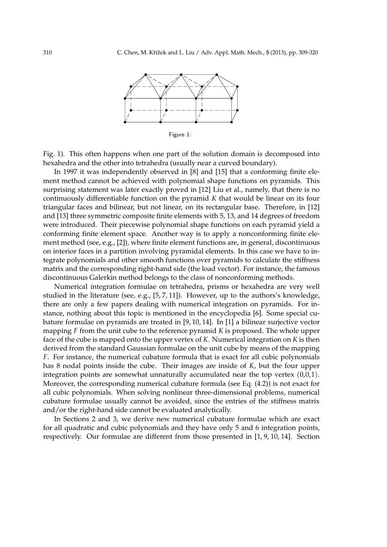

Figure 1:

Fig. 1). This often happens when one part of the solution domain is decomposed into hexahedra and the other into tetrahedra (usually near a curved boundary).

In 1997 it was independently observed in [8] and [15] that a conforming finite element method cannot be achieved with polynomial shape functions on pyramids. This surprising statement was later exactly proved in [12] Liu et al., namely, that there is no continuously differentiable function on the pyramid *K* that would be linear on its four triangular faces and bilinear, but not linear, on its rectangular base. Therefore, in [12] and [13] three symmetric composite finite elements with 5, 13, and 14 degrees of freedom were introduced. Their piecewise polynomial shape functions on each pyramid yield a conforming finite element space. Another way is to apply a nonconforming finite element method (see, e.g., [2]), where finite element functions are, in general, discontinuous on interior faces in a partition involving pyramidal elements. In this case we have to integrate polynomials and other smooth functions over pyramids to calculate the stiffness matrix and the corresponding right-hand side (the load vector). For instance, the famous discontinuous Galerkin method belongs to the class of nonconforming methods.

Numerical integration formulae on tetrahedra, prisms or hexahedra are very well studied in the literature (see, e.g., [5, 7, 11]). However, up to the authors's knowledge, there are only a few papers dealing with numerical integration on pyramids. For instance, nothing about this topic is mentioned in the encyclopedia [6]. Some special cubature formulae on pyramids are treated in [9, 10, 14]. In [1] a bilinear surjective vector mapping *F* from the unit cube to the reference pyramid *K* is proposed. The whole upper face of the cube is mapped onto the upper vertex of *K*. Numerical integration on *K* is then derived from the standard Gaussian formulae on the unit cube by means of the mapping *F*. For instance, the numerical cubature formula that is exact for all cubic polynomials has 8 nodal points inside the cube. Their images are inside of *K*, but the four upper integration points are somewhat unnaturally accumulated near the top vertex (0,0,1). Moreover, the corresponding numerical cubature formula (see Eq. (4.2)) is not exact for all cubic polynomials. When solving nonlinear three-dimensional problems, numerical cubature formulae usually cannot be avoided, since the entries of the stiffness matrix and/or the right-hand side cannot be evaluated analytically.

In Sections 2 and 3, we derive new numerical cubature formulae which are exact for all quadratic and cubic polynomials and they have only 5 and 6 integration points, respectively. Our formulae are different from those presented in [1, 9, 10, 14]. Section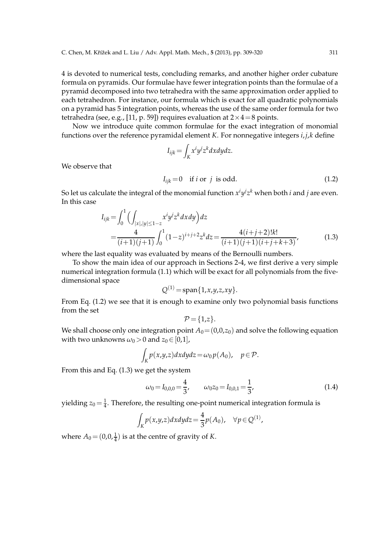4 is devoted to numerical tests, concluding remarks, and another higher order cubature formula on pyramids. Our formulae have fewer integration points than the formulae of a pyramid decomposed into two tetrahedra with the same approximation order applied to each tetrahedron. For instance, our formula which is exact for all quadratic polynomials on a pyramid has 5 integration points, whereas the use of the same order formula for two tetrahedra (see, e.g., [11, p. 59]) requires evaluation at  $2 \times 4 = 8$  points.

Now we introduce quite common formulae for the exact integration of monomial functions over the reference pyramidal element *K*. For nonnegative integers *i*,*j*,*k* define

$$
I_{ijk} = \int_K x^i y^j z^k dx dy dz.
$$

$$
I_{ijk} = 0 \quad \text{if } i \text{ or } j \text{ is odd.} \tag{1.2}
$$

So let us calculate the integral of the monomial function  $x^i y^j z^k$  when both  $i$  and  $j$  are even. In this case

$$
I_{ijk} = \int_0^1 \left( \int_{|x|, |y| \le 1 - z} x^i y^j z^k dx dy \right) dz
$$
  
= 
$$
\frac{4}{(i+1)(j+1)} \int_0^1 (1-z)^{i+j+2} z^k dz = \frac{4(i+j+2)!k!}{(i+1)(j+1)(i+j+k+3)},
$$
(1.3)

where the last equality was evaluated by means of the Bernoulli numbers.

To show the main idea of our approach in Sections 2-4, we first derive a very simple numerical integration formula (1.1) which will be exact for all polynomials from the fivedimensional space

$$
Q^{(1)} = \mathrm{span}\{1, x, y, z, xy\}.
$$

From Eq. (1.2) we see that it is enough to examine only two polynomial basis functions from the set

$$
\mathcal{P} = \{1,z\}.
$$

We shall choose only one integration point  $A_0 = (0,0,z_0)$  and solve the following equation with two unknowns  $\omega_0 > 0$  and  $z_0 \in [0,1]$ ,

$$
\int_K p(x,y,z)dxdydz = \omega_0 p(A_0), \quad p \in \mathcal{P}.
$$

From this and Eq. (1.3) we get the system

We observe that

$$
\omega_0 = I_{0,0,0} = \frac{4}{3}, \qquad \omega_0 z_0 = I_{0,0,1} = \frac{1}{3}, \tag{1.4}
$$

yielding  $z_0 = \frac{1}{4}$ . Therefore, the resulting one-point numerical integration formula is

$$
\int_K p(x,y,z)dxdydz = \frac{4}{3}p(A_0), \quad \forall p \in Q^{(1)},
$$

where  $A_0 = (0, 0, \frac{1}{4})$  is at the centre of gravity of *K*.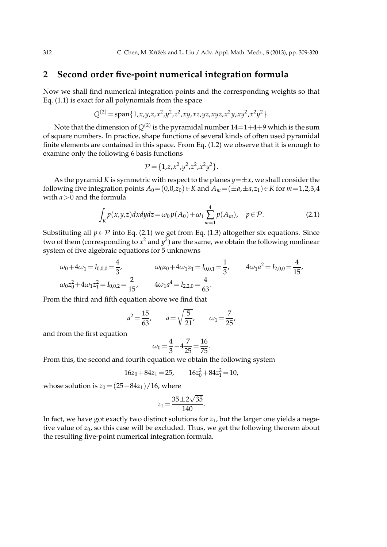## **2 Second order five-point numerical integration formula**

Now we shall find numerical integration points and the corresponding weights so that Eq. (1.1) is exact for all polynomials from the space

$$
Q^{(2)} = \text{span}\{1, x, y, z, x^2, y^2, z^2, xy, xz, yz, xyz, x^2y, xy^2, x^2y^2\}.
$$

Note that the dimension of  $Q^{(2)}$  is the pyramidal number 14 $=$ 1 $+$ 4 $+$ 9 which is the sum of square numbers. In practice, shape functions of several kinds of often used pyramidal finite elements are contained in this space. From Eq. (1.2) we observe that it is enough to examine only the following 6 basis functions

$$
\mathcal{P} = \{1, z, x^2, y^2, z^2, x^2y^2\}.
$$

As the pyramid *K* is symmetric with respect to the planes  $y = \pm x$ , we shall consider the following five integration points  $A_0 = (0,0,z_0) \in K$  and  $A_m = (\pm a, \pm a, z_1) \in K$  for  $m=1,2,3,4$ with  $a > 0$  and the formula

$$
\int_{K} p(x,y,z) dx dy dz = \omega_0 p(A_0) + \omega_1 \sum_{m=1}^{4} p(A_m), \quad p \in \mathcal{P}.
$$
 (2.1)

Substituting all  $p \in \mathcal{P}$  into Eq. (2.1) we get from Eq. (1.3) altogether six equations. Since two of them (corresponding to  $x^2$  and  $y^2$ ) are the same, we obtain the following nonlinear system of five algebraic equations for 5 unknowns

$$
\omega_0 + 4\omega_1 = I_{0,0,0} = \frac{4}{3}, \qquad \omega_0 z_0 + 4\omega_1 z_1 = I_{0,0,1} = \frac{1}{3}, \qquad 4\omega_1 a^2 = I_{2,0,0} = \frac{4}{15},
$$
  

$$
\omega_0 z_0^2 + 4\omega_1 z_1^2 = I_{0,0,2} = \frac{2}{15}, \qquad 4\omega_1 a^4 = I_{2,2,0} = \frac{4}{63}.
$$

From the third and fifth equation above we find that

$$
a^2 = \frac{15}{63}
$$
,  $a = \sqrt{\frac{5}{21}}$ ,  $\omega_1 = \frac{7}{25}$ ,

and from the first equation

$$
\omega_0 = \frac{4}{3} - 4\frac{7}{25} = \frac{16}{75}.
$$

From this, the second and fourth equation we obtain the following system

$$
16z_0 + 84z_1 = 25, \qquad 16z_0^2 + 84z_1^2 = 10,
$$

whose solution is  $z_0 = (25 - 84z_1)/16$ , where

$$
z_1 = \frac{35 \pm 2\sqrt{35}}{140}.
$$

In fact, we have got exactly two distinct solutions for *z*1, but the larger one yields a negative value of  $z_0$ , so this case will be excluded. Thus, we get the following theorem about the resulting five-point numerical integration formula.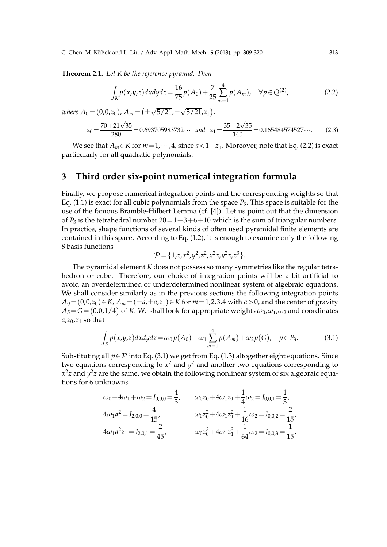**Theorem 2.1.** *Let K be the reference pyramid. Then*

$$
\int_{K} p(x,y,z) dx dy dz = \frac{16}{75} p(A_0) + \frac{7}{25} \sum_{m=1}^{4} p(A_m), \quad \forall p \in Q^{(2)},
$$
\n(2.2)

where 
$$
A_0 = (0,0,z_0)
$$
,  $A_m = (\pm \sqrt{5/21}, \pm \sqrt{5/21}, z_1)$ ,  
\n $z_0 = \frac{70 + 21\sqrt{35}}{280} = 0.693705983732 \cdots$  and  $z_1 = \frac{35 - 2\sqrt{35}}{140} = 0.165484574527 \cdots$  (2.3)

We see that  $A_m \in K$  for  $m=1,\dots,4$ , since  $a<1-z_1$ . Moreover, note that Eq. (2.2) is exact particularly for all quadratic polynomials.

## **3 Third order six-point numerical integration formula**

Finally, we propose numerical integration points and the corresponding weights so that Eq.  $(1.1)$  is exact for all cubic polynomials from the space  $P_3$ . This space is suitable for the use of the famous Bramble-Hilbert Lemma (cf. [4]). Let us point out that the dimension of  $P_3$  is the tetrahedral number  $20=1+3+6+10$  which is the sum of triangular numbers. In practice, shape functions of several kinds of often used pyramidal finite elements are contained in this space. According to Eq. (1.2), it is enough to examine only the following 8 basis functions

$$
\mathcal{P} = \{1, z, x^2, y^2, z^2, x^2z, y^2z, z^3\}.
$$

The pyramidal element *K* does not possess so many symmetries like the regular tetrahedron or cube. Therefore, our choice of integration points will be a bit artificial to avoid an overdetermined or underdetermined nonlinear system of algebraic equations. We shall consider similarly as in the previous sections the following integration points *A*<sub>0</sub> = (0,0,*z*<sub>0</sub>)∈*K*, *A*<sup>*m*</sup> = (±*a*,±*a*,*z*<sub>1</sub>)∈*K* for *m* = 1,2,3,4 with *a* > 0, and the center of gravity  $A_5\!=\!G\!=\!(0,\!0,\!1/4)$  of  $K$ . We shall look for appropriate weights  $\omega_0$ , $\omega_1$ , $\omega_2$  and coordinates  $a$ , $z_0$ , $z_1$  so that

$$
\int_{K} p(x,y,z) dx dy dz = \omega_0 p(A_0) + \omega_1 \sum_{m=1}^{4} p(A_m) + \omega_2 p(G), \quad p \in P_3.
$$
 (3.1)

Substituting all  $p \in \mathcal{P}$  into Eq. (3.1) we get from Eq. (1.3) altogether eight equations. Since two equations corresponding to  $x^2$  and  $y^2$  and another two equations corresponding to  $x^2z$  and  $y^2z$  are the same, we obtain the following nonlinear system of six algebraic equations for 6 unknowns

$$
\omega_0 + 4\omega_1 + \omega_2 = I_{0,0,0} = \frac{4}{3}, \qquad \omega_0 z_0 + 4\omega_1 z_1 + \frac{1}{4}\omega_2 = I_{0,0,1} = \frac{1}{3},
$$
  
\n
$$
4\omega_1 a^2 = I_{2,0,0} = \frac{4}{15}, \qquad \omega_0 z_0^2 + 4\omega_1 z_1^2 + \frac{1}{16}\omega_2 = I_{0,0,2} = \frac{2}{15},
$$
  
\n
$$
4\omega_1 a^2 z_1 = I_{2,0,1} = \frac{2}{45}, \qquad \omega_0 z_0^3 + 4\omega_1 z_1^3 + \frac{1}{64}\omega_2 = I_{0,0,3} = \frac{1}{15}.
$$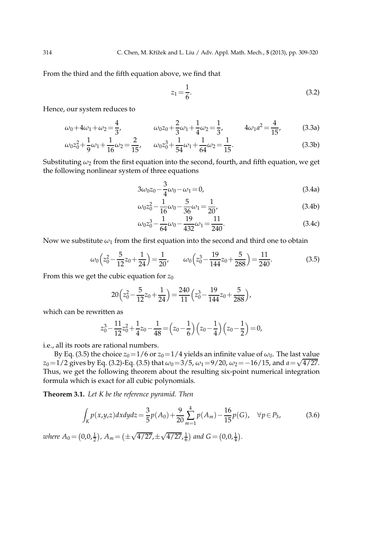From the third and the fifth equation above, we find that

$$
z_1 = \frac{1}{6}.\t(3.2)
$$

Hence, our system reduces to

$$
\omega_0 + 4\omega_1 + \omega_2 = \frac{4}{3}, \qquad \omega_0 z_0 + \frac{2}{3}\omega_1 + \frac{1}{4}\omega_2 = \frac{1}{3}, \qquad 4\omega_1 a^2 = \frac{4}{15}, \qquad (3.3a)
$$

$$
\omega_0 z_0^2 + \frac{1}{9} \omega_1 + \frac{1}{16} \omega_2 = \frac{2}{15}, \qquad \omega_0 z_0^3 + \frac{1}{54} \omega_1 + \frac{1}{64} \omega_2 = \frac{1}{15}.
$$
 (3.3b)

Substituting  $\omega_2$  from the first equation into the second, fourth, and fifth equation, we get the following nonlinear system of three equations

$$
3\omega_0 z_0 - \frac{3}{4}\omega_0 - \omega_1 = 0,\tag{3.4a}
$$

$$
\omega_0 z_0^2 - \frac{1}{16} \omega_0 - \frac{5}{36} \omega_1 = \frac{1}{20},\tag{3.4b}
$$

$$
\omega_0 z_0^3 - \frac{1}{64} \omega_0 - \frac{19}{432} \omega_1 = \frac{11}{240}.
$$
\n(3.4c)

Now we substitute  $\omega_1$  from the first equation into the second and third one to obtain

$$
\omega_0 \left( z_0^2 - \frac{5}{12} z_0 + \frac{1}{24} \right) = \frac{1}{20}, \qquad \omega_0 \left( z_0^3 - \frac{19}{144} z_0 + \frac{5}{288} \right) = \frac{11}{240}.
$$
 (3.5)

From this we get the cubic equation for *z*<sup>0</sup>

$$
20\left(z_0^2 - \frac{5}{12}z_0 + \frac{1}{24}\right) = \frac{240}{11}\left(z_0^3 - \frac{19}{144}z_0 + \frac{5}{288}\right),
$$

which can be rewritten as

$$
z_0^3 - \frac{11}{12}z_0^2 + \frac{1}{4}z_0 - \frac{1}{48} = \left(z_0 - \frac{1}{6}\right)\left(z_0 - \frac{1}{4}\right)\left(z_0 - \frac{1}{2}\right) = 0,
$$

i.e., all its roots are rational numbers.

By Eq. (3.5) the choice  $z_0 = 1/6$  or  $z_0 = 1/4$  yields an infinite value of  $\omega_0$ . The last value  $z_0 = 1/2$  gives by Eq. (3.2)-Eq. (3.5) that  $\omega_0 = 3/5$ ,  $\omega_1 = 9/20$ ,  $\omega_2 = -16/15$ , and  $a = \sqrt{4/27}$ . Thus, we get the following theorem about the resulting six-point numerical integration formula which is exact for all cubic polynomials.

**Theorem 3.1.** *Let K be the reference pyramid. Then*

$$
\int_{K} p(x,y,z) dx dy dz = \frac{3}{5} p(A_0) + \frac{9}{20} \sum_{m=1}^{4} p(A_m) - \frac{16}{15} p(G), \quad \forall p \in P_3,
$$
 (3.6)

*where*  $A_0 = (0, 0, \frac{1}{2})$ ,  $A_m = (\pm \frac{1}{2})$  $\sqrt{4/27}, \pm \sqrt{4/27}, \frac{1}{6}$  and  $G = (0, 0, \frac{1}{4})$ .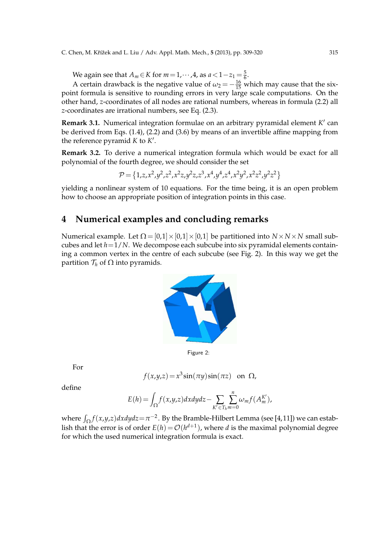C. Chen, M. Křížek and L. Liu / Adv. Appl. Math. Mech., 5 (2013), pp. 309-320 315

We again see that  $A_m \in K$  for  $m = 1, \dots, 4$ , as  $a < 1 - z_1 = \frac{5}{6}$ .

A certain drawback is the negative value of  $\omega_2 = -\frac{16}{15}$  which may cause that the sixpoint formula is sensitive to rounding errors in very large scale computations. On the other hand, *z*-coordinates of all nodes are rational numbers, whereas in formula (2.2) all *z*-coordinates are irrational numbers, see Eq. (2.3).

**Remark 3.1.** Numerical integration formulae on an arbitrary pyramidal element *K* ′ can be derived from Eqs. (1.4), (2.2) and (3.6) by means of an invertible affine mapping from the reference pyramid *K* to *K* ′ .

**Remark 3.2.** To derive a numerical integration formula which would be exact for all polynomial of the fourth degree, we should consider the set

$$
\mathcal{P} = \left\{1,z,x^2,y^2,z^2,x^2z,y^2z,z^3,x^4,y^4,z^4,x^2y^2,x^2z^2,y^2z^2\right\}
$$

yielding a nonlinear system of 10 equations. For the time being, it is an open problem how to choose an appropriate position of integration points in this case.

# **4 Numerical examples and concluding remarks**

Numerical example. Let  $\Omega = [0,1] \times [0,1] \times [0,1]$  be partitioned into  $N \times N \times N$  small subcubes and let  $h=1/N$ . We decompose each subcube into six pyramidal elements containing a common vertex in the centre of each subcube (see Fig. 2). In this way we get the partition  $\mathcal{T}_h$  of  $\Omega$  into pyramids.



Figure 2:

For

$$
f(x,y,z) = x^3 \sin(\pi y) \sin(\pi z)
$$
 on  $\Omega$ ,

define

$$
E(h) = \int_{\Omega} f(x,y,z) dx dy dz - \sum_{K' \in T_h} \sum_{m=0}^{n} \omega_m f(A_m^{K'}),
$$

where  $\int_{\Omega} f(x,y,z) dx dy dz = \pi^{-2}$ . By the Bramble-Hilbert Lemma (see [4,11]) we can establish that the error is of order  $E(h) = O(h^{d+1})$ , where *d* is the maximal polynomial degree for which the used numerical integration formula is exact.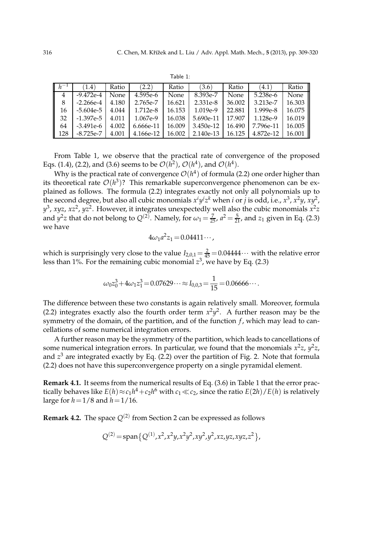|--|

| $h^{-1}$ | (1.4)       | Ratio       | (2.2)     | Ratio  | (3.6)     | Ratio  | (4.1)     | Ratio  |
|----------|-------------|-------------|-----------|--------|-----------|--------|-----------|--------|
| 4        | $-9.472e-4$ | <b>None</b> | 4.595e-6  | None   | 8.393e-7  | None   | 5.238e-6  | None   |
|          | $-2.266e-4$ | 4.180       | 2.765e-7  | 16.621 | 2.331e-8  | 36.002 | 3.213e-7  | 16.303 |
| 16       | -5.604e-5   | 4.044       | 1.712e-8  | 16.153 | 1.019e-9  | 22.881 | 1.999e-8  | 16.075 |
| 32       | $-1.397e-5$ | 4.011       | 1.067e-9  | 16.038 | 5.690e-11 | 17.907 | 1.128e-9  | 16.019 |
| 64       | $-3.491e-6$ | 4.002       | 6.666e-11 | 16.009 | 3.450e-12 | 16.490 | 7.796e-11 | 16.005 |
| 128      | $-8.725e-7$ | 4.001       | 4.166e-12 | 16.002 | 2.140e-13 | 16.125 | 4.872e-12 | 16.001 |

From Table 1, we observe that the practical rate of convergence of the proposed Eqs. (1.4), (2.2), and (3.6) seems to be  $\mathcal{O}(h^2)$ ,  $\mathcal{O}(h^4)$ , and  $\mathcal{O}(h^4)$ .

Why is the practical rate of convergence  $\mathcal{O}(h^4)$  of formula (2.2) one order higher than its theoretical rate  $O(h^3)$ ? This remarkable superconvergence phenomenon can be explained as follows. The formula (2.2) integrates exactly not only all polynomials up to the second degree, but also all cubic monomials  $x^i y^j z^k$  when *i* or *j* is odd, i.e.,  $x^3$ ,  $x^2y$ ,  $xy^2$ , *y* 3 , *xyz*, *xz*<sup>2</sup> , *yz*<sup>2</sup> . However, it integrates unexpectedly well also the cubic monomials *x* 2 *z* and  $y^2z$  that do not belong to  $Q^{(2)}$ . Namely, for  $\omega_1 = \frac{7}{25}$ ,  $a^2 = \frac{5}{21}$ , and  $z_1$  given in Eq. (2.3) we have

$$
4\omega_1 a^2 z_1 = 0.04411\cdots,
$$

which is surprisingly very close to the value  $I_{2,0,1} = \frac{2}{45} = 0.04444 \cdots$  with the relative error less than 1%. For the remaining cubic monomial  $z^3$ , we have by Eq. (2.3)

$$
\omega_0 z_0^3 + 4\omega_1 z_1^3 = 0.07629 \cdots \approx I_{0,0,3} = \frac{1}{15} = 0.06666 \cdots.
$$

The difference between these two constants is again relatively small. Moreover, formula (2.2) integrates exactly also the fourth order term  $x^2y^2$ . A further reason may be the symmetry of the domain, of the partition, and of the function *f*, which may lead to cancellations of some numerical integration errors.

A further reason may be the symmetry of the partition, which leads to cancellations of some numerical integration errors. In particular, we found that the monomials  $x^2z$ ,  $y^2z$ , and *z* <sup>3</sup> are integrated exactly by Eq. (2.2) over the partition of Fig. 2. Note that formula (2.2) does not have this superconvergence property on a single pyramidal element.

**Remark 4.1.** It seems from the numerical results of Eq. (3.6) in Table 1 that the error practically behaves like  $E(h) \approx c_1 h^4 + c_2 h^6$  with  $c_1 \ll c_2$ , since the ratio  $E(2h)/E(h)$  is relatively large for  $h=1/8$  and  $h=1/16$ .

**Remark 4.2.** The space  $Q^{(2)}$  from Section 2 can be expressed as follows

$$
Q^{(2)} = \text{span}\{Q^{(1)}, x^2, x^2y, x^2y^2, xy^2, y^2, xz, yz, xyz, z^2\},
$$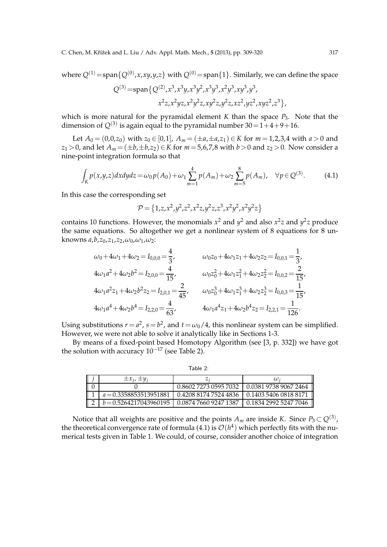C. Chen, M. Křížek and L. Liu / Adv. Appl. Math. Mech., 5 (2013), pp. 309-320 317

where  $Q^{(1)} = \text{span}\{Q^{(0)}, x, xy, y, z\}$  with  $Q^{(0)} = \text{span}\{1\}$ . Similarly, we can define the space

$$
Q^{(3)} = \text{span}\left\{Q^{(2)}, x^3, x^3y, x^3y^2, x^3y^3, x^2y^3, xy^3, y^3, \right\}
$$

$$
x^2z, x^2yz, x^2y^2z, xy^2z, y^2z, xz^2, yz^2, xyz^2, z^3\right\},
$$

which is more natural for the pyramidal element  $K$  than the space  $P_3$ . Note that the dimension of  $Q^{(3)}$  is again equal to the pyramidal number 30=1+4+9+16.

Let  $A_0 = (0,0,z_0)$  with  $z_0 \in [0,1]$ ,  $A_m = (\pm a, \pm a, z_1) \in K$  for  $m = 1,2,3,4$  with  $a > 0$  and *z*<sub>1</sub> > 0, and let *A*<sup>*m*</sup> = (±*b*,±*b*,*z*<sub>2</sub>)∈*K* for *m* = 5,6,7,8 with *b* > 0 and *z*<sub>2</sub> > 0. Now consider a nine-point integration formula so that

$$
\int_{K} p(x,y,z) dx dy dz = \omega_0 p(A_0) + \omega_1 \sum_{m=1}^{4} p(A_m) + \omega_2 \sum_{m=5}^{8} p(A_m), \quad \forall p \in Q^{(3)}.
$$
 (4.1)

In this case the corresponding set

$$
\mathcal{P} = \left\{ 1, z, x^2, y^2, z^2, x^2z, y^2z, z^3, x^2y^2, x^2y^2z \right\}
$$

contains 10 functions. However, the monomials  $x^2$  and  $y^2$  and also  $x^2z$  and  $y^2z$  produce the same equations. So altogether we get a nonlinear system of 8 equations for 8 unknowns *a*,*b*,*z*0,*z*1,*z*2,*ω*0,*ω*1,*ω*2:

$$
\omega_0 + 4\omega_1 + 4\omega_2 = I_{0,0,0} = \frac{4}{3}, \qquad \omega_0 z_0 + 4\omega_1 z_1 + 4\omega_2 z_2 = I_{0,0,1} = \frac{1}{3},
$$
  
\n
$$
4\omega_1 a^2 + 4\omega_2 b^2 = I_{2,0,0} = \frac{4}{15}, \qquad \omega_0 z_0^2 + 4\omega_1 z_1^2 + 4\omega_2 z_2^2 = I_{0,0,2} = \frac{2}{15},
$$
  
\n
$$
4\omega_1 a^2 z_1 + 4\omega_2 b^2 z_2 = I_{2,0,1} = \frac{2}{45}, \qquad \omega_0 z_0^3 + 4\omega_1 z_1^3 + 4\omega_2 z_2^3 = I_{0,0,3} = \frac{1}{15},
$$
  
\n
$$
4\omega_1 a^4 + 4\omega_2 b^4 = I_{2,2,0} = \frac{4}{63}, \qquad 4\omega_1 a^4 z_1 + 4\omega_2 b^4 z_2 = I_{2,2,1} = \frac{1}{126}.
$$

Using substitutions  $r = a^2$ ,  $s = b^2$ , and  $t = \omega_0/4$ , this nonlinear system can be simplified. However, we were not able to solve it analytically like in Sections 1-3.

By means of a fixed-point based Homotopy Algorithm (see [3, p. 332]) we have got the solution with accuracy  $10^{-17}$  (see Table 2).

|             | $\pm x_i$ , $\pm y$                                                      |                       | $\omega$              |  |  |
|-------------|--------------------------------------------------------------------------|-----------------------|-----------------------|--|--|
| $\mathbb I$ |                                                                          | 0.8602 7273 0595 7032 | 0.0381 9738 9067 2464 |  |  |
|             | $a = 0.3358853513951881$   0.4208 8174 7524 4836   0.1403 5406 0818 8171 |                       |                       |  |  |
| 11          | $b = 0.5264217043960195$   0.0874 7660 9247 1387                         |                       | 0.1834 2992 5247 7046 |  |  |

Table 2:

Notice that all weights are positive and the points  $A_m$  are inside *K*. Since  $P_3 \subset Q^{(3)}$ , the theoretical convergence rate of formula  $(4.1)$  is  $\mathcal{O}(h^4)$  which perfectly fits with the numerical tests given in Table 1. We could, of course, consider another choice of integration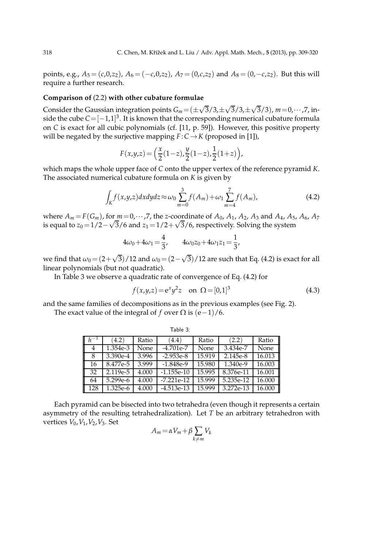points, e.g.,  $A_5 = (c, 0, z_2)$ ,  $A_6 = (-c, 0, z_2)$ ,  $A_7 = (0, c, z_2)$  and  $A_8 = (0, -c, z_2)$ . But this will require a further research.

#### **Comparison of** (2.2) **with other cubature formulae**

Consider the Gaussian integration points  $G_m = (\pm \sqrt{3}/3, \pm \sqrt{3}/3, \pm \sqrt{3}/3)$ ,  $m = 0, \cdots, 7$ , inside the cube  $C=[-1,1]^3$ . It is known that the corresponding numerical cubature formula on *C* is exact for all cubic polynomials (cf. [11, p. 59]). However, this positive property will be negated by the surjective mapping  $F: C \rightarrow K$  (proposed in [1]),

$$
F(x,y,z) = \left(\frac{x}{2}(1-z), \frac{y}{2}(1-z), \frac{1}{2}(1+z)\right),
$$

which maps the whole upper face of *C* onto the upper vertex of the reference pyramid *K*. The associated numerical cubature formula on *K* is given by

$$
\int_{K} f(x,y,z) dx dy dz \approx \omega_0 \sum_{m=0}^{3} f(A_m) + \omega_1 \sum_{m=4}^{7} f(A_m),
$$
\n(4.2)

where  $A_m = F(G_m)$ , for  $m = 0, \dots, 7$ , the *z*-coordinate of  $A_0$ ,  $A_1$ ,  $A_2$ ,  $A_3$  and  $A_4$ ,  $A_5$ ,  $A_6$ ,  $A_7$ is equal to  $z_0 = 1/2 - \sqrt{3}/6$  and  $z_1 = 1/2 + \sqrt{3}/6$ , respectively. Solving the system

$$
4\omega_0 + 4\omega_1 = \frac{4}{3}, \qquad 4\omega_0 z_0 + 4\omega_1 z_1 = \frac{1}{3},
$$

we find that  $\omega_0 = (2+\sqrt{3})/12$  and  $\omega_0 = (2-\sqrt{3})/12$  are such that Eq. (4.2) is exact for all linear polynomials (but not quadratic).

In Table 3 we observe a quadratic rate of convergence of Eq. (4.2) for

$$
f(x,y,z) = e^x y^2 z \quad \text{on } \Omega = [0,1]^3
$$
 (4.3)

and the same families of decompositions as in the previous examples (see Fig. 2).

The exact value of the integral of *f* over  $\Omega$  is  $(e-1)/6$ .

|                     |            |       | Table 3:     |        |           |        |
|---------------------|------------|-------|--------------|--------|-----------|--------|
| $\lfloor n \rfloor$ | (4.2)      | Ratio | (4.4)        | Ratio  | (2.2)     | Ratio  |
| 4                   | 1.354e-3   | None  | $-4.701e-7$  | None   | 3.434e-7  | None   |
| 8                   | 3.390e-4   | 3.996 | $-2.953e-8$  | 15.919 | 2.145e-8  | 16.013 |
| 16                  | 8.477e-5   | 3.999 | $-1.848e-9$  | 15.980 | 1.340e-9  | 16.003 |
| 32                  | 2.119e-5   | 4.000 | $-1.155e-10$ | 15.995 | 8.376e-11 | 16.001 |
| 64                  | $5.299e-6$ | 4.000 | $-7.221e-12$ | 15.999 | 5.235e-12 | 16.000 |
| 128                 | 1.325e-6   | 4.000 | $-4.513e-13$ | 15.999 | 3.272e-13 | 16.000 |

Each pyramid can be bisected into two tetrahedra (even though it represents a certain asymmetry of the resulting tetrahedralization). Let *T* be an arbitrary tetrahedron with vertices *V*0,*V*1,*V*2,*V*3. Set

$$
A_m = \alpha V_m + \beta \sum_{k \neq m} V_k
$$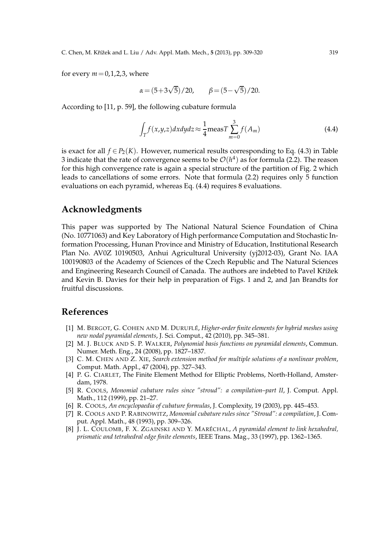for every  $m=0,1,2,3$ , where

$$
\alpha = (5+3\sqrt{5})/20, \qquad \beta = (5-\sqrt{5})/20.
$$

According to [11, p. 59], the following cubature formula

$$
\int_{T} f(x, y, z) dx dy dz \approx \frac{1}{4} \text{meas} T \sum_{m=0}^{3} f(A_m)
$$
\n(4.4)

is exact for all  $f \in P_2(K)$ . However, numerical results corresponding to Eq. (4.3) in Table 3 indicate that the rate of convergence seems to be  $\mathcal{O}(h^4)$  as for formula (2.2). The reason for this high convergence rate is again a special structure of the partition of Fig. 2 which leads to cancellations of some errors. Note that formula (2.2) requires only 5 function evaluations on each pyramid, whereas Eq. (4.4) requires 8 evaluations.

## **Acknowledgments**

This paper was supported by The National Natural Science Foundation of China (No. 10771063) and Key Laboratory of High performance Computation and Stochastic Information Processing, Hunan Province and Ministry of Education, Institutional Research Plan No. AV0Z 10190503, Anhui Agricultural University (yj2012-03), Grant No. IAA 100190803 of the Academy of Sciences of the Czech Republic and The Natural Sciences and Engineering Research Council of Canada. The authors are indebted to Pavel Křížek and Kevin B. Davies for their help in preparation of Figs. 1 and 2, and Jan Brandts for fruitful discussions.

#### **References**

- [1] M. BERGOT, G. COHEN AND M. DURUFLE´, *Higher-order finite elements for hybrid meshes using new nodal pyramidal elements*, J. Sci. Comput., 42 (2010), pp. 345–381.
- [2] M. J. BLUCK AND S. P. WALKER, *Polynomial basis functions on pyramidal elements*, Commun. Numer. Meth. Eng., 24 (2008), pp. 1827–1837.
- [3] C. M. CHEN AND Z. XIE, *Search extension method for multiple solutions of a nonlinear problem*, Comput. Math. Appl., 47 (2004), pp. 327–343.
- [4] P. G. CIARLET, The Finite Element Method for Elliptic Problems, North-Holland, Amsterdam, 1978.
- [5] R. COOLS, *Monomial cubature rules since "stroud": a compilation–part II*, J. Comput. Appl. Math., 112 (1999), pp. 21–27.
- [6] R. COOLS, *An encyclopaedia of cubature formulas*, J. Complexity, 19 (2003), pp. 445–453.
- [7] R. COOLS AND P. RABINOWITZ, *Monomial cubature rules since "Stroud": a compilation*, J. Comput. Appl. Math., 48 (1993), pp. 309–326.
- [8] J. L. COULOMB, F. X. ZGAINSKI AND Y. MARÉCHAL, A pyramidal element to link hexahedral, *prismatic and tetrahedral edge finite elements*, IEEE Trans. Mag., 33 (1997), pp. 1362–1365.